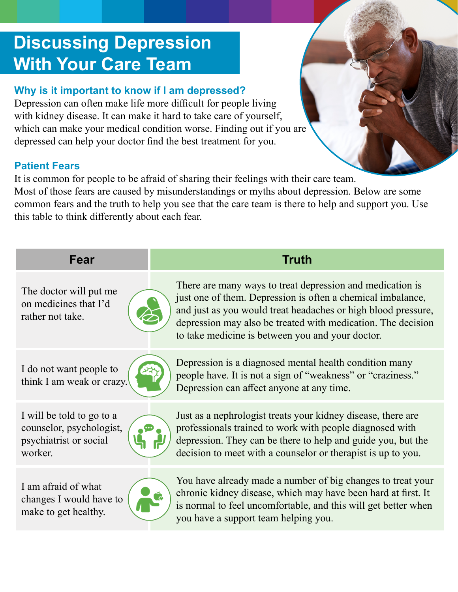# **Discussing Depression With Your Care Team**

### **Why is it important to know if I am depressed?**

Depression can often make life more difficult for people living with kidney disease. It can make it hard to take care of yourself, which can make your medical condition worse. Finding out if you are depressed can help your doctor find the best treatment for you.

#### **Patient Fears**

It is common for people to be afraid of sharing their feelings with their care team. Most of those fears are caused by misunderstandings or myths about depression. Below are some common fears and the truth to help you see that the care team is there to help and support you. Use this table to think differently about each fear.

| Fear                                                                                       | <b>Truth</b>                                                                                                                                                                                                                                                                                                  |
|--------------------------------------------------------------------------------------------|---------------------------------------------------------------------------------------------------------------------------------------------------------------------------------------------------------------------------------------------------------------------------------------------------------------|
| The doctor will put me<br>on medicines that I'd<br>rather not take.                        | There are many ways to treat depression and medication is<br>just one of them. Depression is often a chemical imbalance,<br>and just as you would treat headaches or high blood pressure,<br>depression may also be treated with medication. The decision<br>to take medicine is between you and your doctor. |
| I do not want people to<br>think I am weak or crazy.                                       | Depression is a diagnosed mental health condition many<br>people have. It is not a sign of "weakness" or "craziness."<br>Depression can affect anyone at any time.                                                                                                                                            |
| I will be told to go to a<br>counselor, psychologist,<br>psychiatrist or social<br>worker. | Just as a nephrologist treats your kidney disease, there are<br>professionals trained to work with people diagnosed with<br>depression. They can be there to help and guide you, but the<br>decision to meet with a counselor or therapist is up to you.                                                      |
| I am afraid of what<br>changes I would have to<br>make to get healthy.                     | You have already made a number of big changes to treat your<br>chronic kidney disease, which may have been hard at first. It<br>is normal to feel uncomfortable, and this will get better when<br>you have a support team helping you.                                                                        |
|                                                                                            |                                                                                                                                                                                                                                                                                                               |